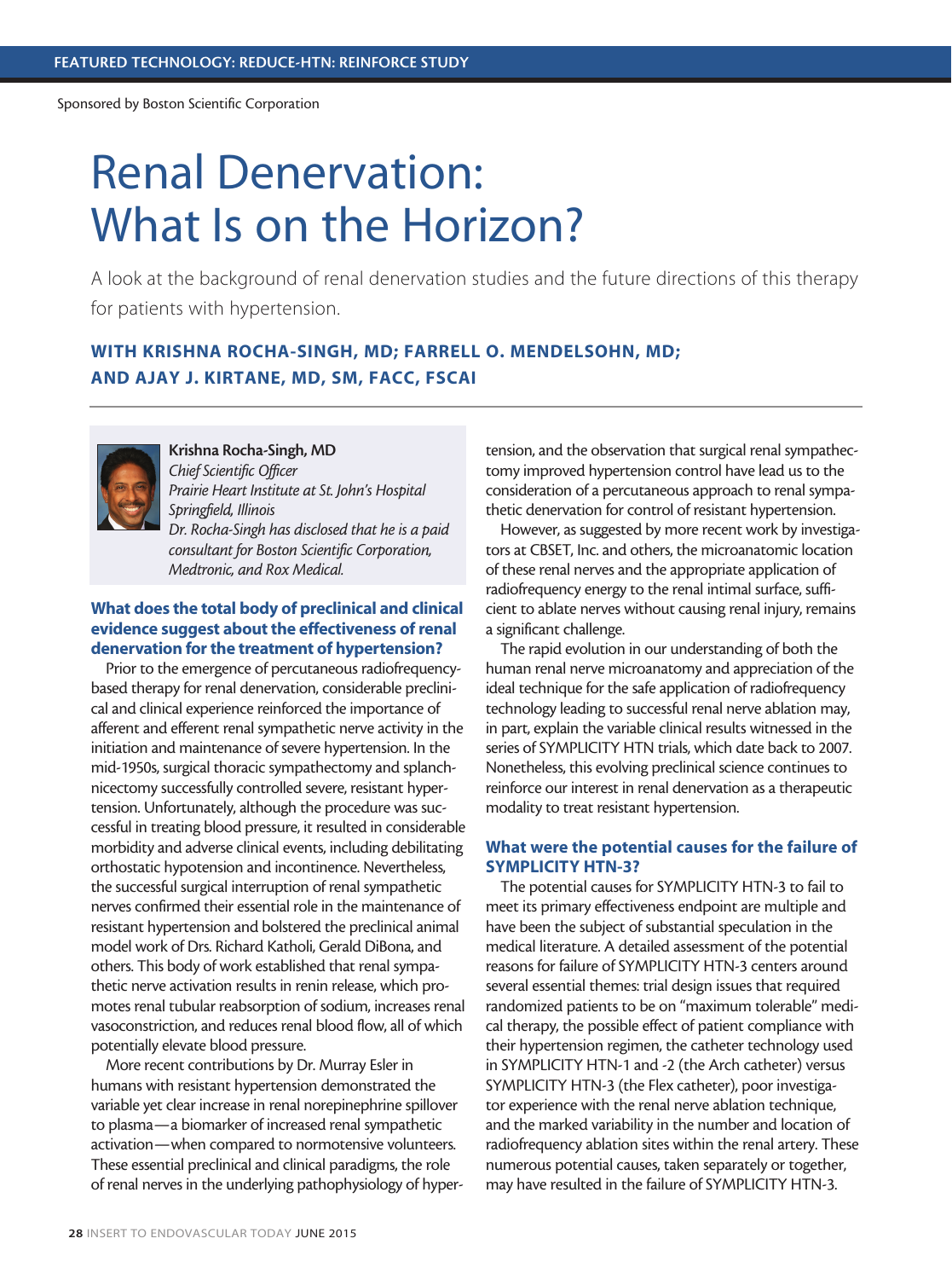# Renal Denervation: What Is on the Horizon?

A look at the background of renal denervation studies and the future directions of this therapy for patients with hypertension.

## WITH KRISHNA ROCHA-SINGH, MD; FARRELL O. MENDELSOHN, MD; AND AJAY J. KIRTANE, MD, SM, FACC, FSCAI



Krishna Rocha-Singh, MD *Chief Scientific Officer Prairie Heart Institute at St. John's Hospital Springfield, Illinois Dr. Rocha-Singh has disclosed that he is a paid consultant for Boston Scientific Corporation, Medtronic, and Rox Medical.*

### What does the total body of preclinical and clinical evidence suggest about the effectiveness of renal denervation for the treatment of hypertension?

Prior to the emergence of percutaneous radiofrequencybased therapy for renal denervation, considerable preclinical and clinical experience reinforced the importance of afferent and efferent renal sympathetic nerve activity in the initiation and maintenance of severe hypertension. In the mid-1950s, surgical thoracic sympathectomy and splanchnicectomy successfully controlled severe, resistant hypertension. Unfortunately, although the procedure was successful in treating blood pressure, it resulted in considerable morbidity and adverse clinical events, including debilitating orthostatic hypotension and incontinence. Nevertheless, the successful surgical interruption of renal sympathetic nerves confirmed their essential role in the maintenance of resistant hypertension and bolstered the preclinical animal model work of Drs. Richard Katholi, Gerald DiBona, and others. This body of work established that renal sympathetic nerve activation results in renin release, which promotes renal tubular reabsorption of sodium, increases renal vasoconstriction, and reduces renal blood flow, all of which potentially elevate blood pressure.

More recent contributions by Dr. Murray Esler in humans with resistant hypertension demonstrated the variable yet clear increase in renal norepinephrine spillover to plasma—a biomarker of increased renal sympathetic activation—when compared to normotensive volunteers. These essential preclinical and clinical paradigms, the role of renal nerves in the underlying pathophysiology of hypertension, and the observation that surgical renal sympathectomy improved hypertension control have lead us to the consideration of a percutaneous approach to renal sympathetic denervation for control of resistant hypertension.

However, as suggested by more recent work by investigators at CBSET, Inc. and others, the microanatomic location of these renal nerves and the appropriate application of radiofrequency energy to the renal intimal surface, sufficient to ablate nerves without causing renal injury, remains a significant challenge.

The rapid evolution in our understanding of both the human renal nerve microanatomy and appreciation of the ideal technique for the safe application of radiofrequency technology leading to successful renal nerve ablation may, in part, explain the variable clinical results witnessed in the series of SYMPLICITY HTN trials, which date back to 2007. Nonetheless, this evolving preclinical science continues to reinforce our interest in renal denervation as a therapeutic modality to treat resistant hypertension.

#### What were the potential causes for the failure of SYMPLICITY HTN-3?

The potential causes for SYMPLICITY HTN-3 to fail to meet its primary effectiveness endpoint are multiple and have been the subject of substantial speculation in the medical literature. A detailed assessment of the potential reasons for failure of SYMPLICITY HTN-3 centers around several essential themes: trial design issues that required randomized patients to be on "maximum tolerable" medical therapy, the possible effect of patient compliance with their hypertension regimen, the catheter technology used in SYMPLICITY HTN-1 and -2 (the Arch catheter) versus SYMPLICITY HTN-3 (the Flex catheter), poor investigator experience with the renal nerve ablation technique, and the marked variability in the number and location of radiofrequency ablation sites within the renal artery. These numerous potential causes, taken separately or together, may have resulted in the failure of SYMPLICITY HTN-3.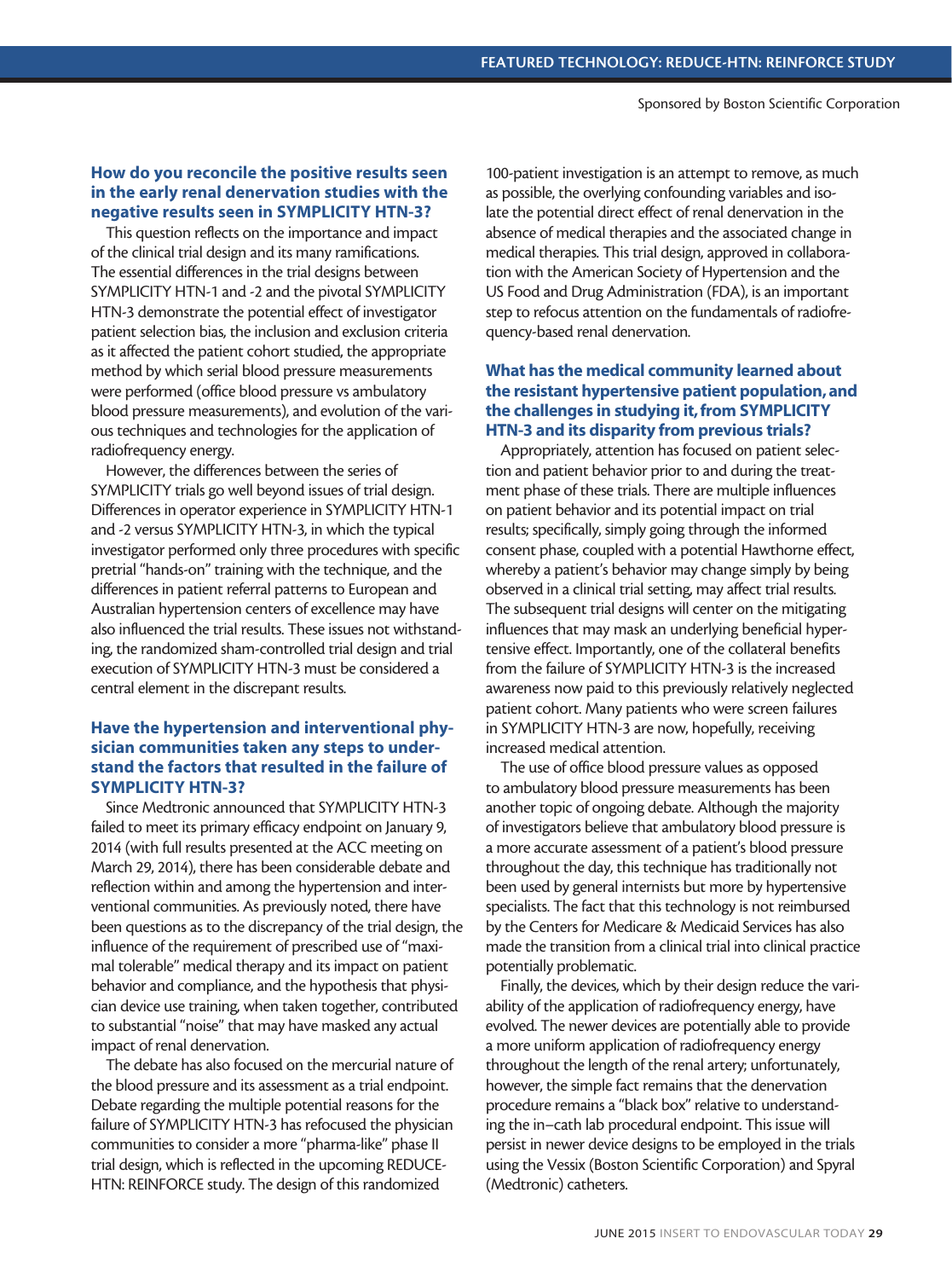#### How do you reconcile the positive results seen in the early renal denervation studies with the negative results seen in SYMPLICITY HTN-3?

This question reflects on the importance and impact of the clinical trial design and its many ramifications. The essential differences in the trial designs between SYMPLICITY HTN-1 and -2 and the pivotal SYMPLICITY HTN-3 demonstrate the potential effect of investigator patient selection bias, the inclusion and exclusion criteria as it affected the patient cohort studied, the appropriate method by which serial blood pressure measurements were performed (office blood pressure vs ambulatory blood pressure measurements), and evolution of the various techniques and technologies for the application of radiofrequency energy.

However, the differences between the series of SYMPLICITY trials go well beyond issues of trial design. Differences in operator experience in SYMPLICITY HTN-1 and -2 versus SYMPLICITY HTN-3, in which the typical investigator performed only three procedures with specific pretrial "hands-on" training with the technique, and the differences in patient referral patterns to European and Australian hypertension centers of excellence may have also influenced the trial results. These issues not withstanding, the randomized sham-controlled trial design and trial execution of SYMPLICITY HTN-3 must be considered a central element in the discrepant results.

#### Have the hypertension and interventional physician communities taken any steps to understand the factors that resulted in the failure of SYMPLICITY HTN-3?

Since Medtronic announced that SYMPLICITY HTN-3 failed to meet its primary efficacy endpoint on January 9, 2014 (with full results presented at the ACC meeting on March 29, 2014), there has been considerable debate and reflection within and among the hypertension and interventional communities. As previously noted, there have been questions as to the discrepancy of the trial design, the influence of the requirement of prescribed use of "maximal tolerable" medical therapy and its impact on patient behavior and compliance, and the hypothesis that physician device use training, when taken together, contributed to substantial "noise" that may have masked any actual impact of renal denervation.

The debate has also focused on the mercurial nature of the blood pressure and its assessment as a trial endpoint. Debate regarding the multiple potential reasons for the failure of SYMPLICITY HTN-3 has refocused the physician communities to consider a more "pharma-like" phase II trial design, which is reflected in the upcoming REDUCE-HTN: REINFORCE study. The design of this randomized

100-patient investigation is an attempt to remove, as much as possible, the overlying confounding variables and isolate the potential direct effect of renal denervation in the absence of medical therapies and the associated change in medical therapies. This trial design, approved in collaboration with the American Society of Hypertension and the US Food and Drug Administration (FDA), is an important step to refocus attention on the fundamentals of radiofrequency-based renal denervation.

#### What has the medical community learned about the resistant hypertensive patient population, and the challenges in studying it, from SYMPLICITY HTN-3 and its disparity from previous trials?

Appropriately, attention has focused on patient selection and patient behavior prior to and during the treatment phase of these trials. There are multiple influences on patient behavior and its potential impact on trial results; specifically, simply going through the informed consent phase, coupled with a potential Hawthorne effect, whereby a patient's behavior may change simply by being observed in a clinical trial setting, may affect trial results. The subsequent trial designs will center on the mitigating influences that may mask an underlying beneficial hypertensive effect. Importantly, one of the collateral benefits from the failure of SYMPLICITY HTN-3 is the increased awareness now paid to this previously relatively neglected patient cohort. Many patients who were screen failures in SYMPLICITY HTN-3 are now, hopefully, receiving increased medical attention.

The use of office blood pressure values as opposed to ambulatory blood pressure measurements has been another topic of ongoing debate. Although the majority of investigators believe that ambulatory blood pressure is a more accurate assessment of a patient's blood pressure throughout the day, this technique has traditionally not been used by general internists but more by hypertensive specialists. The fact that this technology is not reimbursed by the Centers for Medicare & Medicaid Services has also made the transition from a clinical trial into clinical practice potentially problematic.

Finally, the devices, which by their design reduce the variability of the application of radiofrequency energy, have evolved. The newer devices are potentially able to provide a more uniform application of radiofrequency energy throughout the length of the renal artery; unfortunately, however, the simple fact remains that the denervation procedure remains a "black box" relative to understanding the in–cath lab procedural endpoint. This issue will persist in newer device designs to be employed in the trials using the Vessix (Boston Scientific Corporation) and Spyral (Medtronic) catheters.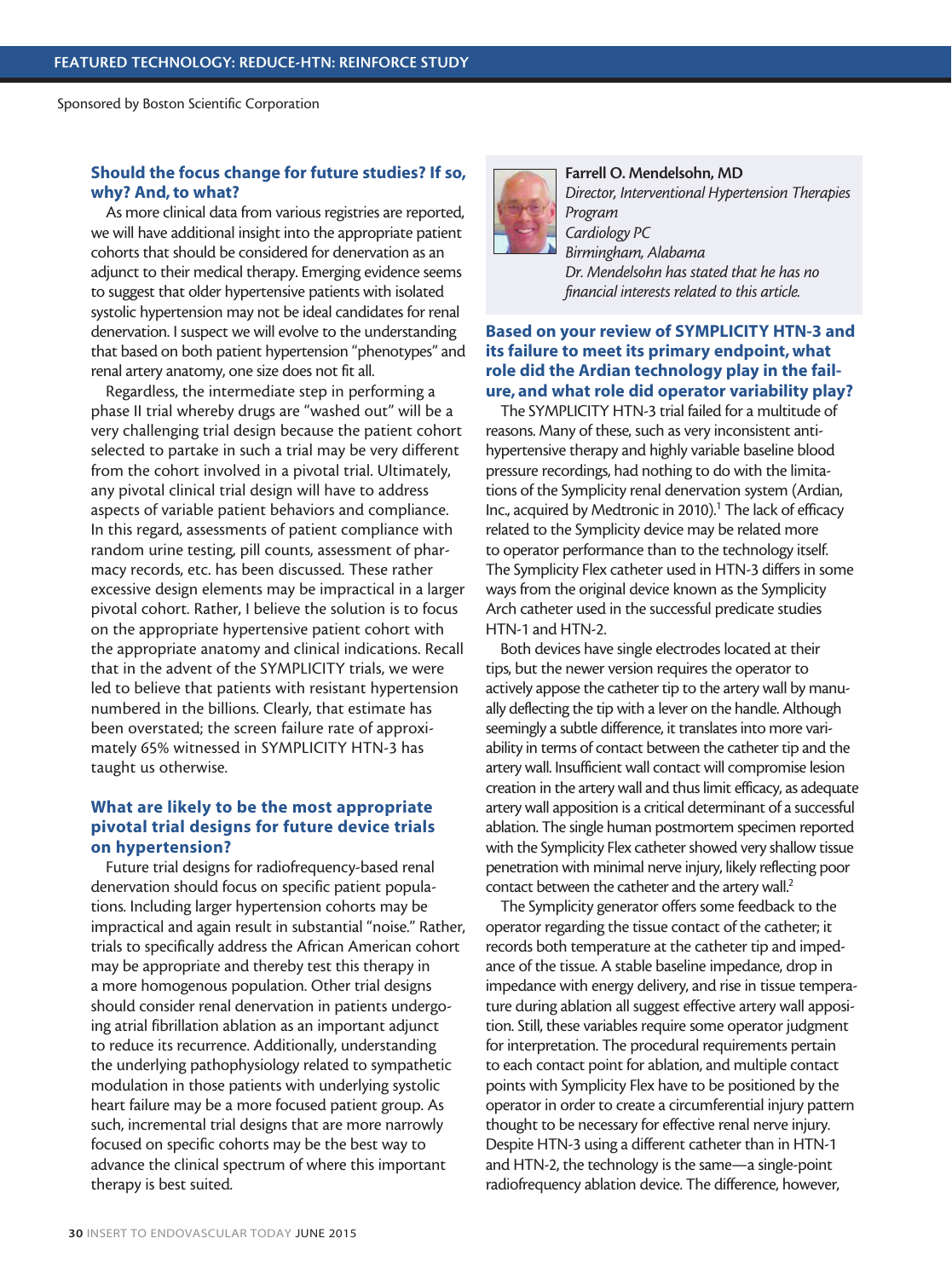#### Should the focus change for future studies? If so, why? And, to what?

As more clinical data from various registries are reported, we will have additional insight into the appropriate patient cohorts that should be considered for denervation as an adjunct to their medical therapy. Emerging evidence seems to suggest that older hypertensive patients with isolated systolic hypertension may not be ideal candidates for renal denervation. I suspect we will evolve to the understanding that based on both patient hypertension "phenotypes" and renal artery anatomy, one size does not fit all.

Regardless, the intermediate step in performing a phase II trial whereby drugs are "washed out" will be a very challenging trial design because the patient cohort selected to partake in such a trial may be very different from the cohort involved in a pivotal trial. Ultimately, any pivotal clinical trial design will have to address aspects of variable patient behaviors and compliance. In this regard, assessments of patient compliance with random urine testing, pill counts, assessment of pharmacy records, etc. has been discussed. These rather excessive design elements may be impractical in a larger pivotal cohort. Rather, I believe the solution is to focus on the appropriate hypertensive patient cohort with the appropriate anatomy and clinical indications. Recall that in the advent of the SYMPLICITY trials, we were led to believe that patients with resistant hypertension numbered in the billions. Clearly, that estimate has been overstated; the screen failure rate of approximately 65% witnessed in SYMPLICITY HTN-3 has taught us otherwise.

#### What are likely to be the most appropriate pivotal trial designs for future device trials on hypertension?

Future trial designs for radiofrequency-based renal denervation should focus on specific patient populations. Including larger hypertension cohorts may be impractical and again result in substantial "noise." Rather, trials to specifically address the African American cohort may be appropriate and thereby test this therapy in a more homogenous population. Other trial designs should consider renal denervation in patients undergoing atrial fibrillation ablation as an important adjunct to reduce its recurrence. Additionally, understanding the underlying pathophysiology related to sympathetic modulation in those patients with underlying systolic heart failure may be a more focused patient group. As such, incremental trial designs that are more narrowly focused on specific cohorts may be the best way to advance the clinical spectrum of where this important therapy is best suited.



Farrell O. Mendelsohn, MD *Director, Interventional Hypertension Therapies Program Cardiology PC Birmingham, Alabama Dr. Mendelsohn has stated that he has no financial interests related to this article.* 

#### Based on your review of SYMPLICITY HTN-3 and its failure to meet its primary endpoint, what role did the Ardian technology play in the failure, and what role did operator variability play?

The SYMPLICITY HTN-3 trial failed for a multitude of reasons. Many of these, such as very inconsistent antihypertensive therapy and highly variable baseline blood pressure recordings, had nothing to do with the limitations of the Symplicity renal denervation system (Ardian, Inc., acquired by Medtronic in 2010).<sup>1</sup> The lack of efficacy related to the Symplicity device may be related more to operator performance than to the technology itself. The Symplicity Flex catheter used in HTN-3 differs in some ways from the original device known as the Symplicity Arch catheter used in the successful predicate studies HTN-1 and HTN-2.

Both devices have single electrodes located at their tips, but the newer version requires the operator to actively appose the catheter tip to the artery wall by manually deflecting the tip with a lever on the handle. Although seemingly a subtle difference, it translates into more variability in terms of contact between the catheter tip and the artery wall. Insufficient wall contact will compromise lesion creation in the artery wall and thus limit efficacy, as adequate artery wall apposition is a critical determinant of a successful ablation. The single human postmortem specimen reported with the Symplicity Flex catheter showed very shallow tissue penetration with minimal nerve injury, likely reflecting poor contact between the catheter and the artery wall.<sup>2</sup>

The Symplicity generator offers some feedback to the operator regarding the tissue contact of the catheter; it records both temperature at the catheter tip and impedance of the tissue. A stable baseline impedance, drop in impedance with energy delivery, and rise in tissue temperature during ablation all suggest effective artery wall apposition. Still, these variables require some operator judgment for interpretation. The procedural requirements pertain to each contact point for ablation, and multiple contact points with Symplicity Flex have to be positioned by the operator in order to create a circumferential injury pattern thought to be necessary for effective renal nerve injury. Despite HTN-3 using a different catheter than in HTN-1 and HTN-2, the technology is the same—a single-point radiofrequency ablation device. The difference, however,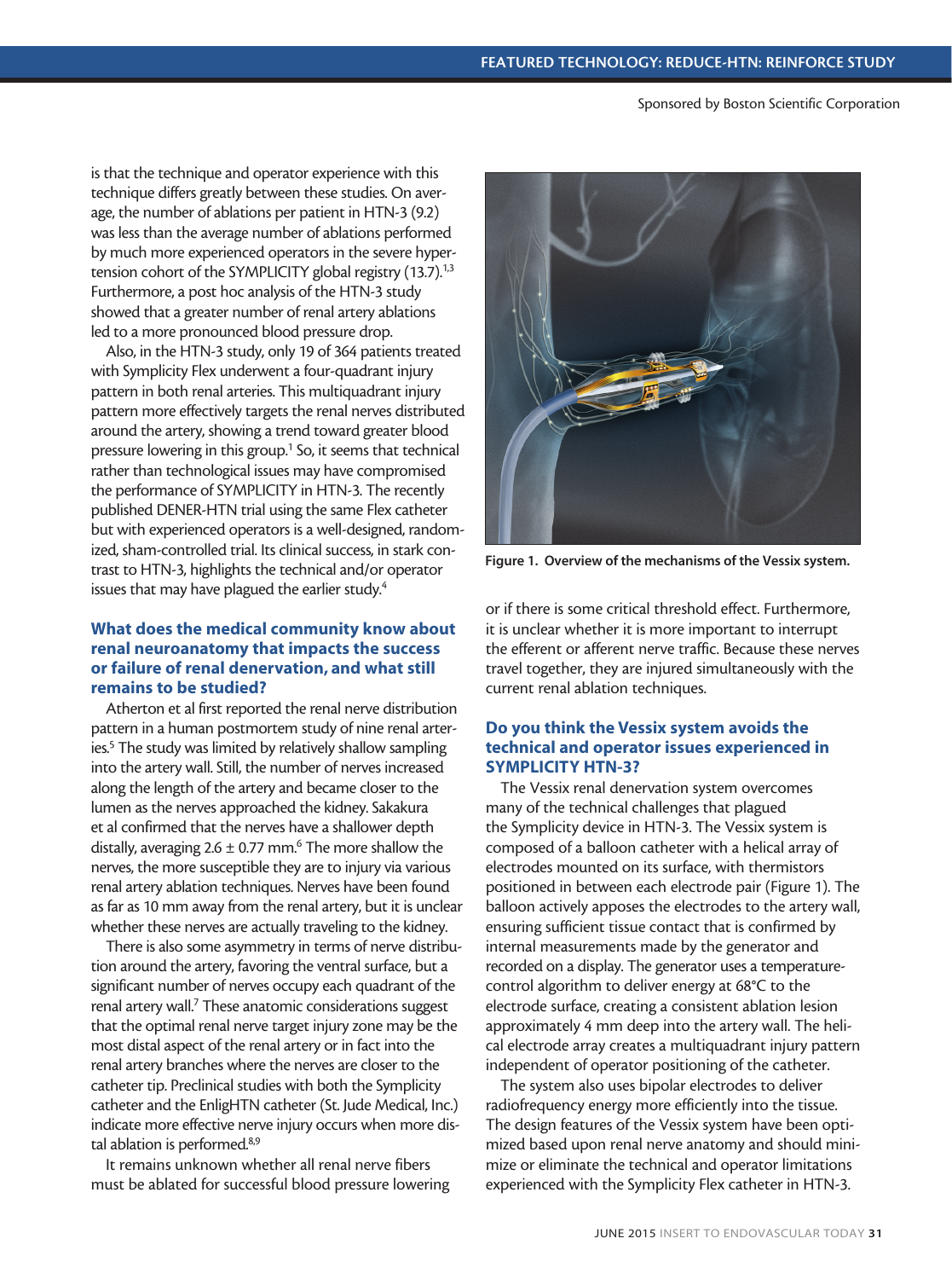is that the technique and operator experience with this technique differs greatly between these studies. On average, the number of ablations per patient in HTN-3 (9.2) was less than the average number of ablations performed by much more experienced operators in the severe hypertension cohort of the SYMPLICITY global registry (13.7).<sup>1,3</sup> Furthermore, a post hoc analysis of the HTN-3 study showed that a greater number of renal artery ablations led to a more pronounced blood pressure drop.

Also, in the HTN-3 study, only 19 of 364 patients treated with Symplicity Flex underwent a four-quadrant injury pattern in both renal arteries. This multiquadrant injury pattern more effectively targets the renal nerves distributed around the artery, showing a trend toward greater blood pressure lowering in this group.<sup>1</sup> So, it seems that technical rather than technological issues may have compromised the performance of SYMPLICITY in HTN-3. The recently published DENER-HTN trial using the same Flex catheter but with experienced operators is a well-designed, randomized, sham-controlled trial. Its clinical success, in stark contrast to HTN-3, highlights the technical and/or operator issues that may have plagued the earlier study.<sup>4</sup>

#### What does the medical community know about renal neuroanatomy that impacts the success or failure of renal denervation, and what still remains to be studied?

Atherton et al first reported the renal nerve distribution pattern in a human postmortem study of nine renal arteries.<sup>5</sup> The study was limited by relatively shallow sampling into the artery wall. Still, the number of nerves increased along the length of the artery and became closer to the lumen as the nerves approached the kidney. Sakakura et al confirmed that the nerves have a shallower depth distally, averaging  $2.6 \pm 0.77$  mm.<sup>6</sup> The more shallow the nerves, the more susceptible they are to injury via various renal artery ablation techniques. Nerves have been found as far as 10 mm away from the renal artery, but it is unclear whether these nerves are actually traveling to the kidney.

There is also some asymmetry in terms of nerve distribution around the artery, favoring the ventral surface, but a significant number of nerves occupy each quadrant of the renal artery wall.<sup>7</sup> These anatomic considerations suggest that the optimal renal nerve target injury zone may be the most distal aspect of the renal artery or in fact into the renal artery branches where the nerves are closer to the catheter tip. Preclinical studies with both the Symplicity catheter and the EnligHTN catheter (St. Jude Medical, Inc.) indicate more effective nerve injury occurs when more distal ablation is performed.<sup>8,9</sup>

It remains unknown whether all renal nerve fibers must be ablated for successful blood pressure lowering



Figure 1. Overview of the mechanisms of the Vessix system.

or if there is some critical threshold effect. Furthermore, it is unclear whether it is more important to interrupt the efferent or afferent nerve traffic. Because these nerves travel together, they are injured simultaneously with the current renal ablation techniques.

#### Do you think the Vessix system avoids the technical and operator issues experienced in SYMPLICITY HTN-3?

The Vessix renal denervation system overcomes many of the technical challenges that plagued the Symplicity device in HTN-3. The Vessix system is composed of a balloon catheter with a helical array of electrodes mounted on its surface, with thermistors positioned in between each electrode pair (Figure 1). The balloon actively apposes the electrodes to the artery wall, ensuring sufficient tissue contact that is confirmed by internal measurements made by the generator and recorded on a display. The generator uses a temperaturecontrol algorithm to deliver energy at 68°C to the electrode surface, creating a consistent ablation lesion approximately 4 mm deep into the artery wall. The helical electrode array creates a multiquadrant injury pattern independent of operator positioning of the catheter.

The system also uses bipolar electrodes to deliver radiofrequency energy more efficiently into the tissue. The design features of the Vessix system have been optimized based upon renal nerve anatomy and should minimize or eliminate the technical and operator limitations experienced with the Symplicity Flex catheter in HTN-3.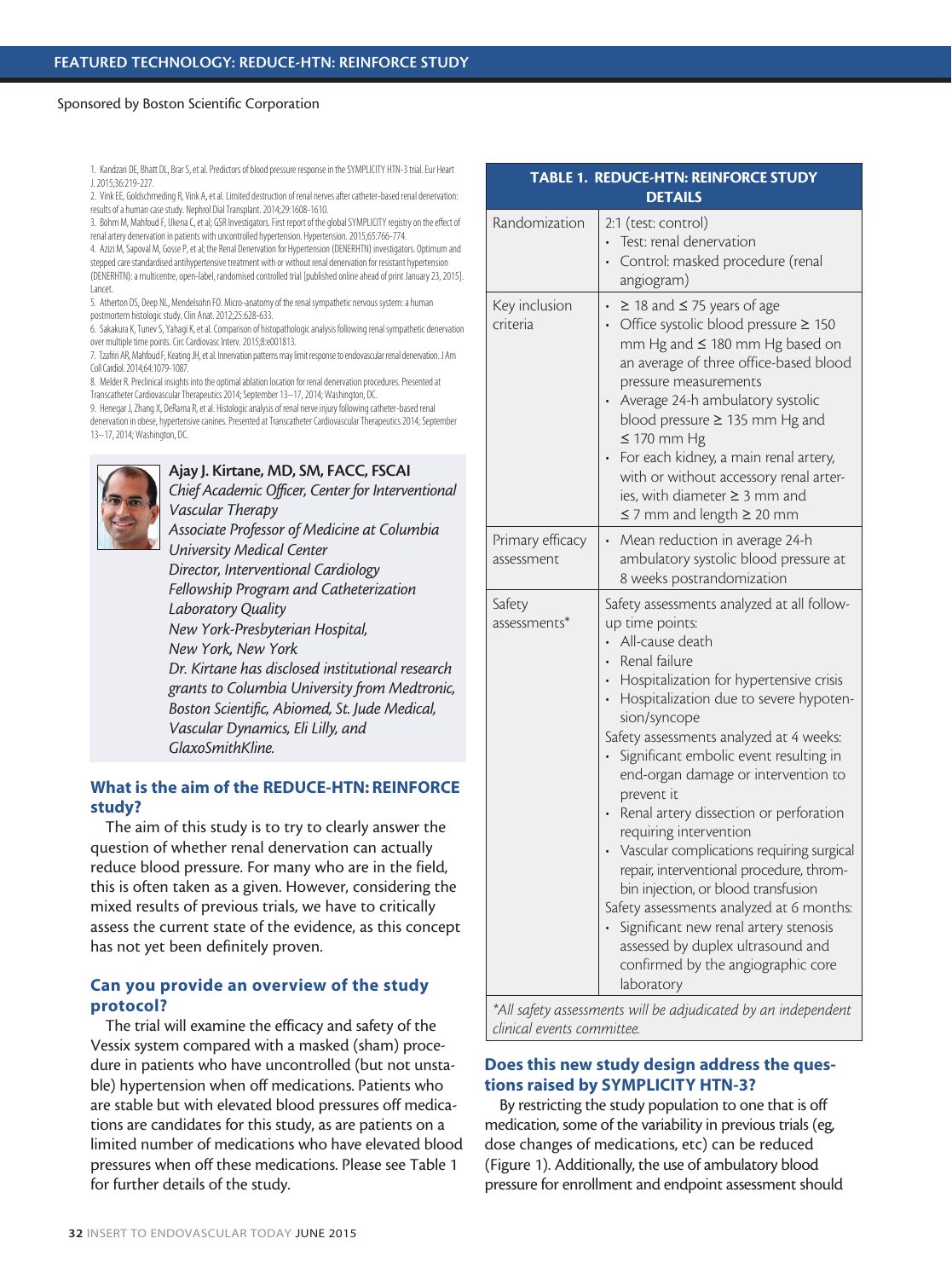1. Kandzari DE, Bhatt DL, Brar S, et al. Predictors of blood pressure response in the SYMPLICITY HTN-3 trial. Eur Heart J.2015;36:219-227.

2. Vink EE, Goldschmeding R, Vink A, et al. Limited destruction of renal nerves after catheter-based renal denervation: results of a human case study. Nephrol Dial Transplant.2014;29:1608-1610.

3. Böhm M, Mahfoud F, Ukena C, et al; GSR Investigators. First report of the global SYMPLICITY registry on the effect of renal artery denervation in patients with uncontrolled hypertension. Hypertension. 2015;65:766-774.

4. Azizi M, Sapoval M, Gosse P, et al; the Renal Denervation for Hypertension (DENERHTN) investigators. Optimum and stepped care standardised antihypertensive treatment with or without renal denervation for resistant hypertension (DENERHTN): a multicentre, open-label, randomised controlled trial [published online ahead of print January 23, 2015].

Lancet. 5. Atherton DS, Deep NL, Mendelsohn FO. Micro-anatomy of the renal sympathetic nervous system: a human

postmortem histologic study. Clin Anat. 2012;25:628-633.

6. Sakakura K, Tunev S, Yahagi K, et al. Comparison of histopathologic analysis following renal sympathetic denervation over multiple time points. Circ Cardiovasc Interv. 2015;8:e001813.

7. Tzafriri AR, Mahfoud F, Keating JH, et al. Innervation patterns may limit response to endovascular renal denervation.J Am Coll Cardiol.2014;64:1079-1087.

8. Melder R. Preclinical insights into the optimal ablation location for renal denervation procedures. Presented at Transcatheter Cardiovascular Therapeutics 2014; September 13–17, 2014; Washington, DC.

9. Henegar J, Zhang X, DeRama R, et al. Histologic analysis of renal nerve injury following catheter-based renal denervation in obese, hypertensive canines. Presented at Transcatheter Cardiovascular Therapeutics 2014; September 13–17, 2014; Washington, DC.



#### Ajay J. Kirtane, MD, SM, FACC, FSCAI

*Chief Academic Officer, Center for Interventional Vascular Therapy Associate Professor of Medicine at Columbia University Medical Center*

*Director, Interventional Cardiology Fellowship Program and Catheterization Laboratory Quality New York-Presbyterian Hospital, New York, New York Dr. Kirtane has disclosed institutional research grants to Columbia University from Medtronic, Boston Scientific, Abiomed, St. Jude Medical, Vascular Dynamics, Eli Lilly, and GlaxoSmithKline.*

### What is the aim of the REDUCE-HTN: REINFORCE study?

The aim of this study is to try to clearly answer the question of whether renal denervation can actually reduce blood pressure. For many who are in the field, this is often taken as a given. However, considering the mixed results of previous trials, we have to critically assess the current state of the evidence, as this concept has not yet been definitely proven.

#### Can you provide an overview of the study protocol?

The trial will examine the efficacy and safety of the Vessix system compared with a masked (sham) procedure in patients who have uncontrolled (but not unstable) hypertension when off medications. Patients who are stable but with elevated blood pressures off medications are candidates for this study, as are patients on a limited number of medications who have elevated blood pressures when off these medications. Please see Table 1 for further details of the study.

| TABLE 1. REDUCE-HTN: REINFORCE STUDY<br><b>DETAILS</b> |                                                                                                                                                                                                                                                                                                                                                                                                                                                                                                                                                                                                                                                                                                                                                 |
|--------------------------------------------------------|-------------------------------------------------------------------------------------------------------------------------------------------------------------------------------------------------------------------------------------------------------------------------------------------------------------------------------------------------------------------------------------------------------------------------------------------------------------------------------------------------------------------------------------------------------------------------------------------------------------------------------------------------------------------------------------------------------------------------------------------------|
| Randomization                                          | 2:1 (test: control)<br>Test: renal denervation<br>Control: masked procedure (renal<br>angiogram)                                                                                                                                                                                                                                                                                                                                                                                                                                                                                                                                                                                                                                                |
| Key inclusion<br>criteria                              | $\geq$ 18 and $\leq$ 75 years of age<br>Office systolic blood pressure ≥ 150<br>$\ddot{\phantom{0}}$<br>mm Hg and ≤ 180 mm Hg based on<br>an average of three office-based blood<br>pressure measurements<br>Average 24-h ambulatory systolic<br>blood pressure ≥ 135 mm Hg and<br>$\leq$ 170 mm Hg<br>For each kidney, a main renal artery,<br>with or without accessory renal arter-<br>ies, with diameter ≥ 3 mm and<br>$\leq$ 7 mm and length $\geq$ 20 mm                                                                                                                                                                                                                                                                                  |
| Primary efficacy<br>assessment                         | Mean reduction in average 24-h<br>ambulatory systolic blood pressure at<br>8 weeks postrandomization                                                                                                                                                                                                                                                                                                                                                                                                                                                                                                                                                                                                                                            |
| Safety<br>assessments*                                 | Safety assessments analyzed at all follow-<br>up time points:<br>All-cause death<br>Renal failure<br>Hospitalization for hypertensive crisis<br>$\bullet$<br>Hospitalization due to severe hypoten-<br>sion/syncope<br>Safety assessments analyzed at 4 weeks:<br>Significant embolic event resulting in<br>end-organ damage or intervention to<br>prevent it<br>Renal artery dissection or perforation<br>requiring intervention<br>Vascular complications requiring surgical<br>repair, interventional procedure, throm-<br>bin injection, or blood transfusion<br>Safety assessments analyzed at 6 months:<br>Significant new renal artery stenosis<br>assessed by duplex ultrasound and<br>confirmed by the angiographic core<br>laboratory |

*\*All safety assessments will be adjudicated by an independent clinical events committee.*

#### Does this new study design address the questions raised by SYMPLICITY HTN-3?

By restricting the study population to one that is off medication, some of the variability in previous trials (eg, dose changes of medications, etc) can be reduced (Figure 1). Additionally, the use of ambulatory blood pressure for enrollment and endpoint assessment should